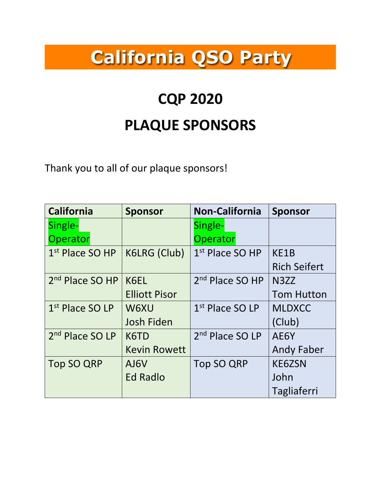## **California QSO Party**

## **CQP 2020 PLAQUE SPONSORS**

Thank you to all of our plaque sponsors!

| <b>California</b>           | <b>Sponsor</b>       | <b>Non-California</b>       | <b>Sponsor</b>      |
|-----------------------------|----------------------|-----------------------------|---------------------|
| Single-                     |                      | Single-                     |                     |
| Operator                    |                      | Operator                    |                     |
| 1 <sup>st</sup> Place SO HP | <b>K6LRG (Club)</b>  | 1 <sup>st</sup> Place SO HP | KE1B                |
|                             |                      |                             | <b>Rich Seifert</b> |
| 2 <sup>nd</sup> Place SO HP | K6EL                 | 2 <sup>nd</sup> Place SO HP | N <sub>3</sub> ZZ   |
|                             | <b>Elliott Pisor</b> |                             | <b>Tom Hutton</b>   |
| 1 <sup>st</sup> Place SO LP | W6XU                 | 1 <sup>st</sup> Place SO LP | <b>MLDXCC</b>       |
|                             | <b>Josh Fiden</b>    |                             | (Club)              |
| 2 <sup>nd</sup> Place SO LP | K6TD                 | 2 <sup>nd</sup> Place SO LP | AE6Y                |
|                             | <b>Kevin Rowett</b>  |                             | <b>Andy Faber</b>   |
| <b>Top SO QRP</b>           | AJ6V                 | <b>Top SO QRP</b>           | <b>KE6ZSN</b>       |
|                             | <b>Ed Radlo</b>      |                             | John                |
|                             |                      |                             | <b>Tagliaferri</b>  |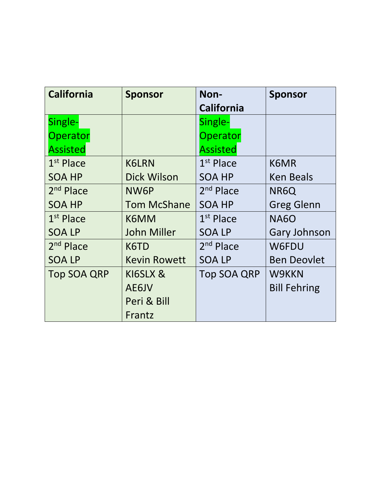| <b>California</b>     | <b>Sponsor</b>      | Non-                  | <b>Sponsor</b>      |
|-----------------------|---------------------|-----------------------|---------------------|
|                       |                     | <b>California</b>     |                     |
| Single-               |                     | Single-               |                     |
| Operator              |                     | Operator              |                     |
| <b>Assisted</b>       |                     | <b>Assisted</b>       |                     |
| $1st$ Place           | <b>K6LRN</b>        | $1st$ Place           | K6MR                |
| <b>SOA HP</b>         | <b>Dick Wilson</b>  | <b>SOA HP</b>         | <b>Ken Beals</b>    |
| $2nd$ Place           | NW6P                | 2 <sup>nd</sup> Place | NR6Q                |
| <b>SOA HP</b>         | <b>Tom McShane</b>  | <b>SOA HP</b>         | <b>Greg Glenn</b>   |
| $1st$ Place           | K6MM                | $1st$ Place           | <b>NA6O</b>         |
| <b>SOA LP</b>         | <b>John Miller</b>  | <b>SOALP</b>          | <b>Gary Johnson</b> |
| 2 <sup>nd</sup> Place | K6TD                | 2 <sup>nd</sup> Place | W6FDU               |
| <b>SOALP</b>          | <b>Kevin Rowett</b> | <b>SOALP</b>          | <b>Ben Deovlet</b>  |
| <b>Top SOA QRP</b>    | KI6SLX &            | <b>Top SOA QRP</b>    | W9KKN               |
|                       | AE6JV               |                       | <b>Bill Fehring</b> |
|                       | Peri & Bill         |                       |                     |
|                       | Frantz              |                       |                     |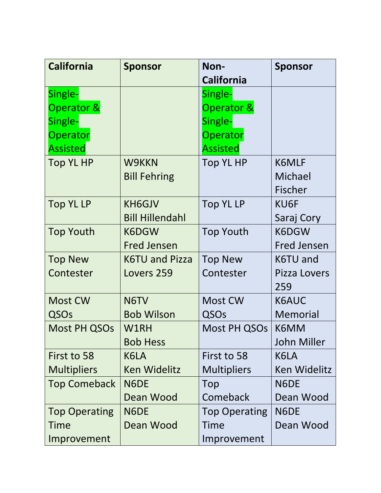| <b>California</b>     | <b>Sponsor</b>         | Non-                  | <b>Sponsor</b>      |
|-----------------------|------------------------|-----------------------|---------------------|
|                       |                        | <b>California</b>     |                     |
| Single-               |                        | Single-               |                     |
| <b>Operator &amp;</b> |                        | <b>Operator &amp;</b> |                     |
| Single-               |                        | Single-               |                     |
| Operator              |                        | Operator              |                     |
| <b>Assisted</b>       |                        | <b>Assisted</b>       |                     |
| <b>Top YL HP</b>      | W9KKN                  | <b>Top YL HP</b>      | K6MLF               |
|                       | <b>Bill Fehring</b>    |                       | Michael             |
|                       |                        |                       | Fischer             |
| <b>Top YL LP</b>      | KH6GJV                 | <b>Top YL LP</b>      | KU6F                |
|                       | <b>Bill Hillendahl</b> |                       | Saraj Cory          |
| <b>Top Youth</b>      | K6DGW                  | <b>Top Youth</b>      | K6DGW               |
|                       | <b>Fred Jensen</b>     |                       | <b>Fred Jensen</b>  |
| <b>Top New</b>        | <b>K6TU and Pizza</b>  | <b>Top New</b>        | K6TU and            |
| Contester             | Lovers 259             | Contester             | <b>Pizza Lovers</b> |
|                       |                        |                       | 259                 |
| <b>Most CW</b>        | N6TV                   | <b>Most CW</b>        | K6AUC               |
| QSOs                  | <b>Bob Wilson</b>      | QSOs                  | <b>Memorial</b>     |
| Most PH QSOs          | W1RH                   | Most PH QSOs          | K6MM                |
|                       | <b>Bob Hess</b>        |                       | <b>John Miller</b>  |
| First to 58           | K6LA                   | First to 58           | K6LA                |
| <b>Multipliers</b>    | <b>Ken Widelitz</b>    | <b>Multipliers</b>    | <b>Ken Widelitz</b> |
| <b>Top Comeback</b>   | N6DE                   | Top                   | N6DE                |
|                       | Dean Wood              | Comeback              | Dean Wood           |
| <b>Top Operating</b>  | N6DE                   | <b>Top Operating</b>  | N6DE                |
| Time                  | Dean Wood              | Time                  | Dean Wood           |
| Improvement           |                        | Improvement           |                     |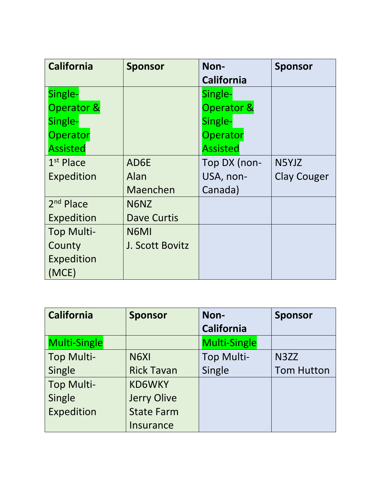| <b>California</b>     | <b>Sponsor</b>     | Non-              | <b>Sponsor</b>     |
|-----------------------|--------------------|-------------------|--------------------|
|                       |                    | <b>California</b> |                    |
| Single-               |                    | Single-           |                    |
| <b>Operator &amp;</b> |                    | Operator &        |                    |
| Single-               |                    | Single-           |                    |
| Operator              |                    | Operator          |                    |
| <b>Assisted</b>       |                    | <b>Assisted</b>   |                    |
| $1st$ Place           | AD6E               | Top DX (non-      | N5YJZ              |
| Expedition            | Alan               | USA, non-         | <b>Clay Couger</b> |
|                       | Maenchen           | Canada)           |                    |
| $2nd$ Place           | N6NZ               |                   |                    |
| Expedition            | <b>Dave Curtis</b> |                   |                    |
| <b>Top Multi-</b>     | N6MI               |                   |                    |
| County                | J. Scott Bovitz    |                   |                    |
| Expedition            |                    |                   |                    |
| (MCE)                 |                    |                   |                    |

| <b>California</b>   | <b>Sponsor</b>     | Non-<br><b>California</b> | <b>Sponsor</b>    |
|---------------------|--------------------|---------------------------|-------------------|
| <b>Multi-Single</b> |                    | <b>Multi-Single</b>       |                   |
| <b>Top Multi-</b>   | N6XI               | <b>Top Multi-</b>         | N3ZZ              |
| Single              | <b>Rick Tavan</b>  | Single                    | <b>Tom Hutton</b> |
| <b>Top Multi-</b>   | <b>KD6WKY</b>      |                           |                   |
| Single              | <b>Jerry Olive</b> |                           |                   |
| Expedition          | <b>State Farm</b>  |                           |                   |
|                     | <b>Insurance</b>   |                           |                   |